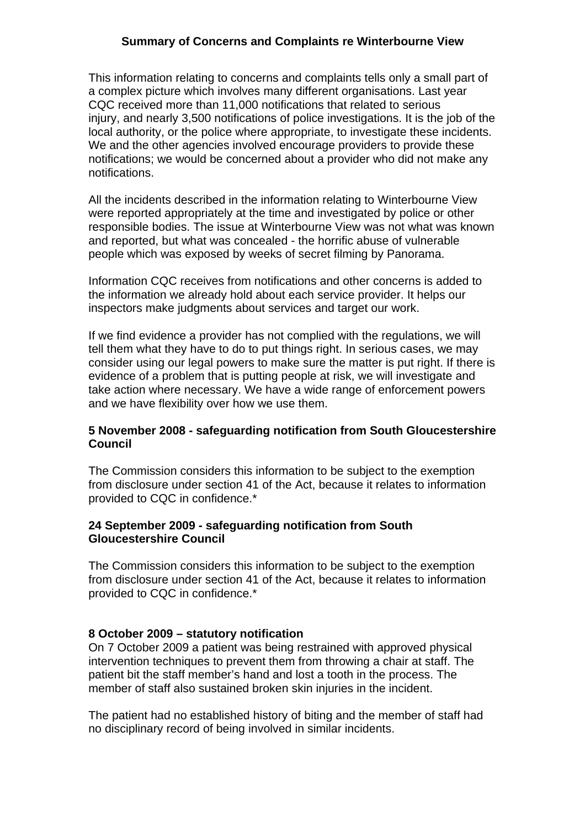# **Summary of Concerns and Complaints re Winterbourne View**

This information relating to concerns and complaints tells only a small part of a complex picture which involves many different organisations. Last year CQC received more than 11,000 notifications that related to serious injury, and nearly 3,500 notifications of police investigations. It is the job of the local authority, or the police where appropriate, to investigate these incidents. We and the other agencies involved encourage providers to provide these notifications; we would be concerned about a provider who did not make any notifications.

All the incidents described in the information relating to Winterbourne View were reported appropriately at the time and investigated by police or other responsible bodies. The issue at Winterbourne View was not what was known and reported, but what was concealed - the horrific abuse of vulnerable people which was exposed by weeks of secret filming by Panorama.

Information CQC receives from notifications and other concerns is added to the information we already hold about each service provider. It helps our inspectors make judgments about services and target our work.

If we find evidence a provider has not complied with the regulations, we will tell them what they have to do to put things right. In serious cases, we may consider using our legal powers to make sure the matter is put right. If there is evidence of a problem that is putting people at risk, we will investigate and take action where necessary. We have a wide range of enforcement powers and we have flexibility over how we use them.

### **5 November 2008 - safeguarding notification from South Gloucestershire Council**

The Commission considers this information to be subject to the exemption from disclosure under section 41 of the Act, because it relates to information provided to CQC in confidence.\*

### **24 September 2009 - safeguarding notification from South Gloucestershire Council**

The Commission considers this information to be subject to the exemption from disclosure under section 41 of the Act, because it relates to information provided to CQC in confidence.\*

# **8 October 2009 – statutory notification**

On 7 October 2009 a patient was being restrained with approved physical intervention techniques to prevent them from throwing a chair at staff. The patient bit the staff member's hand and lost a tooth in the process. The member of staff also sustained broken skin injuries in the incident.

The patient had no established history of biting and the member of staff had no disciplinary record of being involved in similar incidents.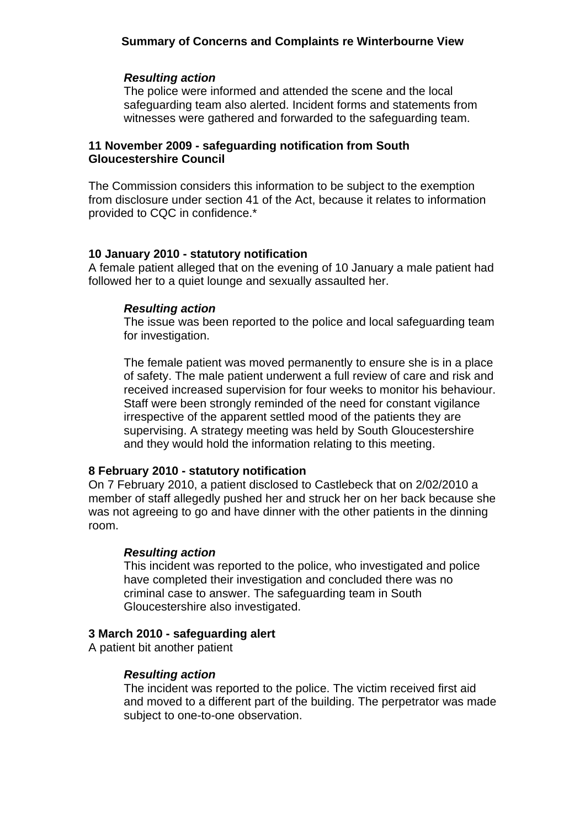# **Summary of Concerns and Complaints re Winterbourne View**

#### *Resulting action*

The police were informed and attended the scene and the local safeguarding team also alerted. Incident forms and statements from witnesses were gathered and forwarded to the safeguarding team.

## **11 November 2009 - safeguarding notification from South Gloucestershire Council**

The Commission considers this information to be subject to the exemption from disclosure under section 41 of the Act, because it relates to information provided to CQC in confidence.\*

#### **10 January 2010 - statutory notification**

A female patient alleged that on the evening of 10 January a male patient had followed her to a quiet lounge and sexually assaulted her.

#### *Resulting action*

The issue was been reported to the police and local safeguarding team for investigation.

The female patient was moved permanently to ensure she is in a place of safety. The male patient underwent a full review of care and risk and received increased supervision for four weeks to monitor his behaviour. Staff were been strongly reminded of the need for constant vigilance irrespective of the apparent settled mood of the patients they are supervising. A strategy meeting was held by South Gloucestershire and they would hold the information relating to this meeting.

#### **8 February 2010 - statutory notification**

On 7 February 2010, a patient disclosed to Castlebeck that on 2/02/2010 a member of staff allegedly pushed her and struck her on her back because she was not agreeing to go and have dinner with the other patients in the dinning room.

#### *Resulting action*

This incident was reported to the police, who investigated and police have completed their investigation and concluded there was no criminal case to answer. The safeguarding team in South Gloucestershire also investigated.

### **3 March 2010 - safeguarding alert**

A patient bit another patient

#### *Resulting action*

The incident was reported to the police. The victim received first aid and moved to a different part of the building. The perpetrator was made subject to one-to-one observation.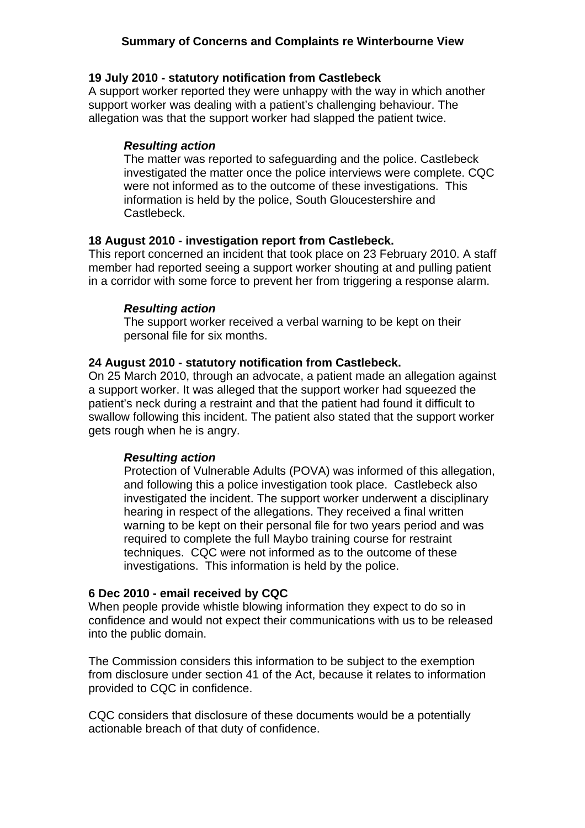# **Summary of Concerns and Complaints re Winterbourne View**

### **19 July 2010 - statutory notification from Castlebeck**

A support worker reported they were unhappy with the way in which another support worker was dealing with a patient's challenging behaviour. The allegation was that the support worker had slapped the patient twice.

## *Resulting action*

The matter was reported to safeguarding and the police. Castlebeck investigated the matter once the police interviews were complete. CQC were not informed as to the outcome of these investigations. This information is held by the police, South Gloucestershire and Castlebeck.

### **18 August 2010 - investigation report from Castlebeck.**

This report concerned an incident that took place on 23 February 2010. A staff member had reported seeing a support worker shouting at and pulling patient in a corridor with some force to prevent her from triggering a response alarm.

### *Resulting action*

The support worker received a verbal warning to be kept on their personal file for six months.

### **24 August 2010 - statutory notification from Castlebeck.**

On 25 March 2010, through an advocate, a patient made an allegation against a support worker. It was alleged that the support worker had squeezed the patient's neck during a restraint and that the patient had found it difficult to swallow following this incident. The patient also stated that the support worker gets rough when he is angry.

# *Resulting action*

Protection of Vulnerable Adults (POVA) was informed of this allegation, and following this a police investigation took place. Castlebeck also investigated the incident. The support worker underwent a disciplinary hearing in respect of the allegations. They received a final written warning to be kept on their personal file for two years period and was required to complete the full Maybo training course for restraint techniques. CQC were not informed as to the outcome of these investigations. This information is held by the police.

# **6 Dec 2010 - email received by CQC**

When people provide whistle blowing information they expect to do so in confidence and would not expect their communications with us to be released into the public domain.

The Commission considers this information to be subject to the exemption from disclosure under section 41 of the Act, because it relates to information provided to CQC in confidence.

CQC considers that disclosure of these documents would be a potentially actionable breach of that duty of confidence.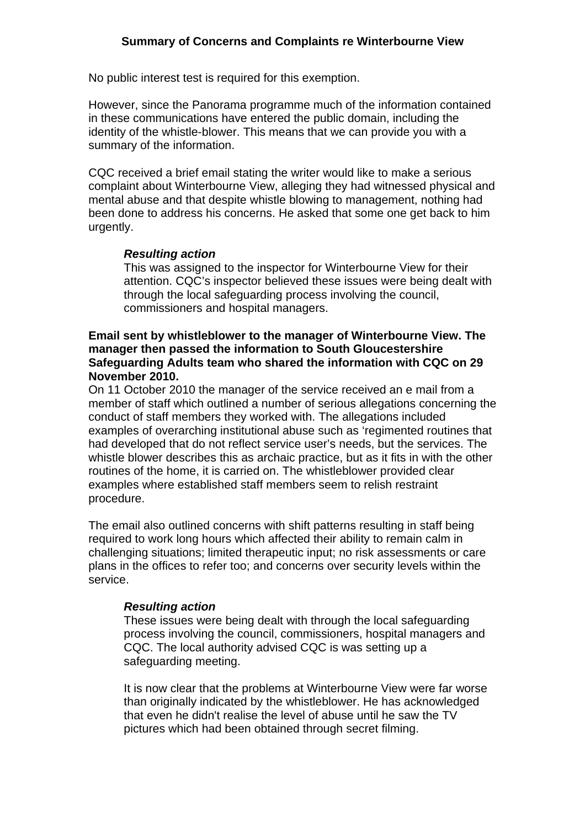No public interest test is required for this exemption.

However, since the Panorama programme much of the information contained in these communications have entered the public domain, including the identity of the whistle-blower. This means that we can provide you with a summary of the information.

CQC received a brief email stating the writer would like to make a serious complaint about Winterbourne View, alleging they had witnessed physical and mental abuse and that despite whistle blowing to management, nothing had been done to address his concerns. He asked that some one get back to him urgently.

# *Resulting action*

This was assigned to the inspector for Winterbourne View for their attention. CQC's inspector believed these issues were being dealt with through the local safeguarding process involving the council, commissioners and hospital managers.

# **Email sent by whistleblower to the manager of Winterbourne View. The manager then passed the information to South Gloucestershire Safeguarding Adults team who shared the information with CQC on 29 November 2010.**

On 11 October 2010 the manager of the service received an e mail from a member of staff which outlined a number of serious allegations concerning the conduct of staff members they worked with. The allegations included examples of overarching institutional abuse such as 'regimented routines that had developed that do not reflect service user's needs, but the services. The whistle blower describes this as archaic practice, but as it fits in with the other routines of the home, it is carried on. The whistleblower provided clear examples where established staff members seem to relish restraint procedure.

The email also outlined concerns with shift patterns resulting in staff being required to work long hours which affected their ability to remain calm in challenging situations; limited therapeutic input; no risk assessments or care plans in the offices to refer too; and concerns over security levels within the service.

# *Resulting action*

These issues were being dealt with through the local safeguarding process involving the council, commissioners, hospital managers and CQC. The local authority advised CQC is was setting up a safeguarding meeting.

It is now clear that the problems at Winterbourne View were far worse than originally indicated by the whistleblower. He has acknowledged that even he didn't realise the level of abuse until he saw the TV pictures which had been obtained through secret filming.